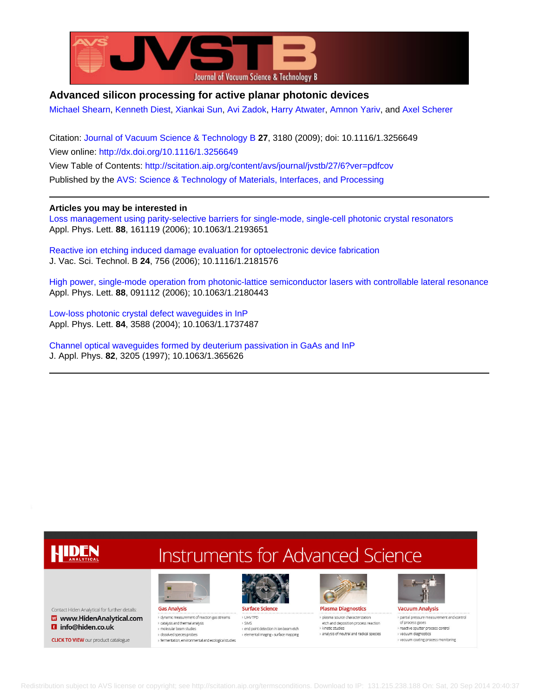

# **Advanced silicon processing for active planar photonic devices**

[Michael Shearn](http://scitation.aip.org/search?value1=Michael+Shearn&option1=author), [Kenneth Diest,](http://scitation.aip.org/search?value1=Kenneth+Diest&option1=author) [Xiankai Sun,](http://scitation.aip.org/search?value1=Xiankai+Sun&option1=author) [Avi Zadok,](http://scitation.aip.org/search?value1=Avi+Zadok&option1=author) [Harry Atwater](http://scitation.aip.org/search?value1=Harry+Atwater&option1=author), [Amnon Yariv](http://scitation.aip.org/search?value1=Amnon+Yariv&option1=author), and [Axel Scherer](http://scitation.aip.org/search?value1=Axel+Scherer&option1=author)

Citation: [Journal of Vacuum Science & Technology B](http://scitation.aip.org/content/avs/journal/jvstb?ver=pdfcov) **27**, 3180 (2009); doi: 10.1116/1.3256649 View online: <http://dx.doi.org/10.1116/1.3256649> View Table of Contents: <http://scitation.aip.org/content/avs/journal/jvstb/27/6?ver=pdfcov> Published by the [AVS: Science & Technology of Materials, Interfaces, and Processing](http://scitation.aip.org/content/avs?ver=pdfcov)

# **Articles you may be interested in**

[Loss management using parity-selective barriers for single-mode, single-cell photonic crystal resonators](http://scitation.aip.org/content/aip/journal/apl/88/16/10.1063/1.2193651?ver=pdfcov) Appl. Phys. Lett. **88**, 161119 (2006); 10.1063/1.2193651

[Reactive ion etching induced damage evaluation for optoelectronic device fabrication](http://scitation.aip.org/content/avs/journal/jvstb/24/2/10.1116/1.2181576?ver=pdfcov) J. Vac. Sci. Technol. B **24**, 756 (2006); 10.1116/1.2181576

[High power, single-mode operation from photonic-lattice semiconductor lasers with controllable lateral resonance](http://scitation.aip.org/content/aip/journal/apl/88/9/10.1063/1.2180443?ver=pdfcov) Appl. Phys. Lett. **88**, 091112 (2006); 10.1063/1.2180443

[Low-loss photonic crystal defect waveguides in InP](http://scitation.aip.org/content/aip/journal/apl/84/18/10.1063/1.1737487?ver=pdfcov) Appl. Phys. Lett. **84**, 3588 (2004); 10.1063/1.1737487

[Channel optical waveguides formed by deuterium passivation in GaAs and InP](http://scitation.aip.org/content/aip/journal/jap/82/7/10.1063/1.365626?ver=pdfcov) J. Appl. Phys. **82**, 3205 (1997); 10.1063/1.365626

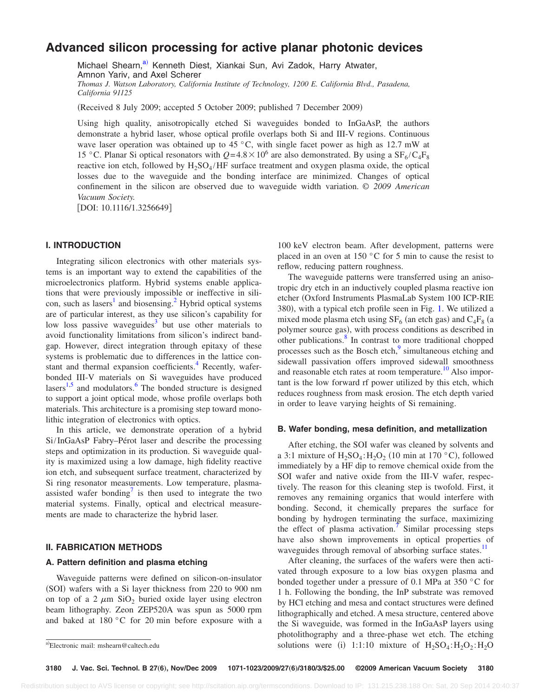# **Advanced silicon processing for active planar photonic devices**

Michael Shearn,<sup>a)</sup> Kenneth Diest, Xiankai Sun, Avi Zadok, Harry Atwater, Amnon Yariv, and Axel Scherer *Thomas J. Watson Laboratory, California Institute of Technology, 1200 E. California Blvd., Pasadena, California 91125*

Received 8 July 2009; accepted 5 October 2009; published 7 December 2009-

Using high quality, anisotropically etched Si waveguides bonded to InGaAsP, the authors demonstrate a hybrid laser, whose optical profile overlaps both Si and III-V regions. Continuous wave laser operation was obtained up to 45 °C, with single facet power as high as 12.7 mW at 15 °C. Planar Si optical resonators with  $Q=4.8\times10^6$  are also demonstrated. By using a SF<sub>6</sub>/C<sub>4</sub>F<sub>8</sub> reactive ion etch, followed by  $H_2SO_4/HF$  surface treatment and oxygen plasma oxide, the optical losses due to the waveguide and the bonding interface are minimized. Changes of optical confinement in the silicon are observed due to waveguide width variation. *© 2009 American Vacuum Society.*

[DOI: 10.1116/1.3256649]

## **I. INTRODUCTION**

Integrating silicon electronics with other materials systems is an important way to extend the capabilities of the microelectronics platform. Hybrid systems enable applications that were previously impossible or ineffective in silicon, such as lasers<sup>1</sup> and biosensing.<sup>2</sup> Hybrid optical systems are of particular interest, as they use silicon's capability for low loss passive waveguides $3$  but use other materials to avoid functionality limitations from silicon's indirect bandgap. However, direct integration through epitaxy of these systems is problematic due to differences in the lattice constant and thermal expansion coefficients.<sup>4</sup> Recently, waferbonded III-V materials on Si waveguides have produced lasers<sup>1[,5](#page-3-4)</sup> and modulators. $\frac{6}{5}$  The bonded structure is designed to support a joint optical mode, whose profile overlaps both materials. This architecture is a promising step toward monolithic integration of electronics with optics.

In this article, we demonstrate operation of a hybrid Si/InGaAsP Fabry–Pérot laser and describe the processing steps and optimization in its production. Si waveguide quality is maximized using a low damage, high fidelity reactive ion etch, and subsequent surface treatment, characterized by Si ring resonator measurements. Low temperature, plasmaassisted wafer bonding<sup>7</sup> is then used to integrate the two material systems. Finally, optical and electrical measurements are made to characterize the hybrid laser.

# **II. FABRICATION METHODS**

## **A. Pattern definition and plasma etching**

Waveguide patterns were defined on silicon-on-insulator (SOI) wafers with a Si layer thickness from 220 to 900 nm on top of a 2  $\mu$ m SiO<sub>2</sub> buried oxide layer using electron beam lithography. Zeon ZEP520A was spun as 5000 rpm and baked at 180 °C for 20 min before exposure with a

100 keV electron beam. After development, patterns were placed in an oven at 150 °C for 5 min to cause the resist to reflow, reducing pattern roughness.

The waveguide patterns were transferred using an anisotropic dry etch in an inductively coupled plasma reactive ion etcher Oxford Instruments PlasmaLab System 100 ICP-RIE 380), with a typical etch profile seen in Fig. [1.](#page-2-0) We utilized a mixed mode plasma etch using  $SF_6$  (an etch gas) and  $C_4F_8$  (a polymer source gas), with process conditions as described in other publications.<sup>8</sup> In contrast to more traditional chopped processes such as the Bosch etch,<sup>9</sup> simultaneous etching and sidewall passivation offers improved sidewall smoothness and reasonable etch rates at room temperature.<sup>10</sup> Also important is the low forward rf power utilized by this etch, which reduces roughness from mask erosion. The etch depth varied in order to leave varying heights of Si remaining.

#### **B. Wafer bonding, mesa definition, and metallization**

After etching, the SOI wafer was cleaned by solvents and a 3:1 mixture of  $H_2SO_4$ :  $H_2O_2$  (10 min at 170 °C), followed immediately by a HF dip to remove chemical oxide from the SOI wafer and native oxide from the III-V wafer, respectively. The reason for this cleaning step is twofold. First, it removes any remaining organics that would interfere with bonding. Second, it chemically prepares the surface for bonding by hydrogen terminating the surface, maximizing the effect of plasma activation.<sup>7</sup> Similar processing steps have also shown improvements in optical properties of waveguides through removal of absorbing surface states.<sup>11</sup>

After cleaning, the surfaces of the wafers were then activated through exposure to a low bias oxygen plasma and bonded together under a pressure of 0.1 MPa at 350 °C for 1 h. Following the bonding, the InP substrate was removed by HCl etching and mesa and contact structures were defined lithographically and etched. A mesa structure, centered above the Si waveguide, was formed in the InGaAsP layers using photolithography and a three-phase wet etch. The etching a)Electronic mail: mshearn@caltech.edu solutions were (i)  $1:1:10$  mixture of  $H_2SO_4$ : $H_2O_2$ : $H_2O$ 

<span id="page-1-0"></span>Electronic mail: mshearn@caltech.edu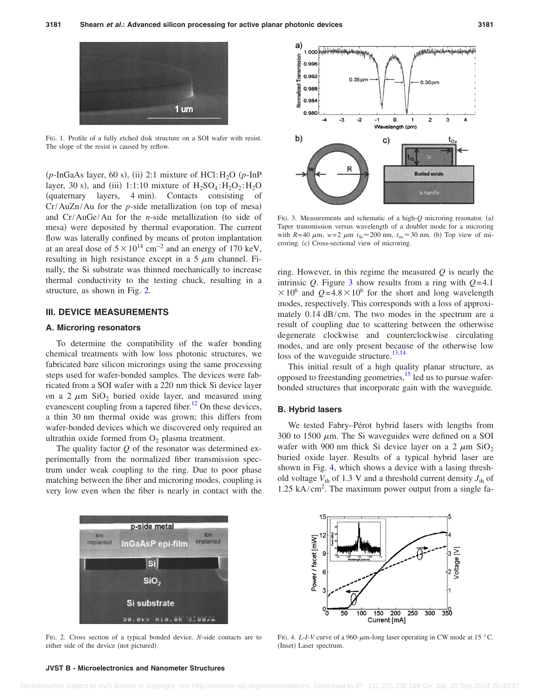<span id="page-2-0"></span>

FIG. 1. Profile of a fully etched disk structure on a SOI wafer with resist. The slope of the resist is caused by reflow.

 $(p\text{-InGaAs layer}, 60 \text{ s})$ , (ii) 2:1 mixture of HCl: H<sub>2</sub>O  $(p\text{-InP})$ layer, 30 s), and (iii) 1:1:10 mixture of  $H_2SO_4$ : $H_2O_2$ : $H_2O$ (quaternary layers, 4 min). Contacts consisting of  $Cr/AuZn/Au$  for the  $p$ -side metallization (on top of mesa) and  $Cr/AuGe/Au$  for the *n*-side metallization (to side of mesa) were deposited by thermal evaporation. The current flow was laterally confined by means of proton implantation at an areal dose of  $5 \times 10^{14}$  cm<sup>-2</sup> and an energy of 170 keV, resulting in high resistance except in a  $5 \mu m$  channel. Finally, the Si substrate was thinned mechanically to increase thermal conductivity to the testing chuck, resulting in a structure, as shown in Fig. [2.](#page-2-1)

### **III. DEVICE MEASUREMENTS**

## **A. Microring resonators**

To determine the compatibility of the wafer bonding chemical treatments with low loss photonic structures, we fabricated bare silicon microrings using the same processing steps used for wafer-bonded samples. The devices were fabricated from a SOI wafer with a 220 nm thick Si device layer on a 2  $\mu$ m SiO<sub>2</sub> buried oxide layer, and measured using evanescent coupling from a tapered fiber.<sup>12</sup> On these devices, a thin 30 nm thermal oxide was grown; this differs from wafer-bonded devices which we discovered only required an ultrathin oxide formed from  $O_2$  plasma treatment.

The quality factor *Q* of the resonator was determined experimentally from the normalized fiber transmission spectrum under weak coupling to the ring. Due to poor phase matching between the fiber and microring modes, coupling is very low even when the fiber is nearly in contact with the

<span id="page-2-1"></span>

FIG. 2. Cross section of a typical bonded device. *N*-side contacts are to either side of the device (not pictured).

<span id="page-2-2"></span>

FIG. 3. Measurements and schematic of a high-*Q* microring resonator. (a) Taper transmission versus wavelength of a doublet mode for a microring with  $R=40 \mu m$ ,  $w=2 \mu m$   $t_{Si} \approx 200 \text{ nm}$ ,  $t_{ox} \approx 30 \text{ nm}$ . (b) Top view of microring. (c) Cross-sectional view of microring.

ring. However, in this regime the measured *Q* is nearly the intrinsic *Q*. Figure [3](#page-2-2) show results from a ring with  $Q=4.1$  $\times$  10<sup>6</sup> and *Q*=4.8 $\times$  10<sup>6</sup> for the short and long wavelength modes, respectively. This corresponds with a loss of approximately 0.14 dB/cm. The two modes in the spectrum are a result of coupling due to scattering between the otherwise degenerate clockwise and counterclockwise circulating modes, and are only present because of the otherwise low loss of the waveguide structure. $13,14$  $13,14$ 

This initial result of a high quality planar structure, as opposed to freestanding geometries, $15$  led us to pursue waferbonded structures that incorporate gain with the waveguide.

### **B. Hybrid lasers**

We tested Fabry–Pérot hybrid lasers with lengths from 300 to 1500  $\mu$ m. The Si waveguides were defined on a SOI wafer with 900 nm thick Si device layer on a 2  $\mu$ m SiO<sub>2</sub> buried oxide layer. Results of a typical hybrid laser are shown in Fig. [4,](#page-2-3) which shows a device with a lasing threshold voltage  $V_{\text{th}}$  of 1.3 V and a threshold current density  $J_{\text{th}}$  of 1.25 kA/cm<sup>2</sup> . The maximum power output from a single fa-

<span id="page-2-3"></span>

FIG. 4. *L*-*I*-*V* curve of a 960- $\mu$ m-long laser operating in CW mode at 15 °C. (Inset) Laser spectrum.

### **JVST B - Microelectronics and Nanometer Structures**